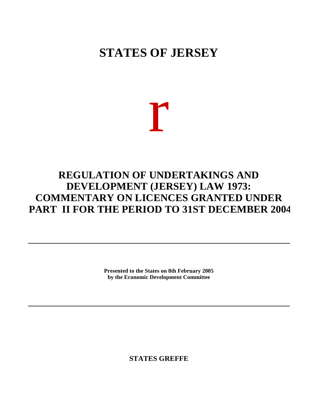# **STATES OF JERSEY**

# r

## **REGULATION OF UNDERTAKINGS AND DEVELOPMENT (JERSEY) LAW 1973: COMMENTARY ON LICENCES GRANTED UNDER PART II FOR THE PERIOD TO 31ST DECEMBER 2004**

**Presented to the States on 8th February 2005 by the Economic Development Committee**

**STATES GREFFE**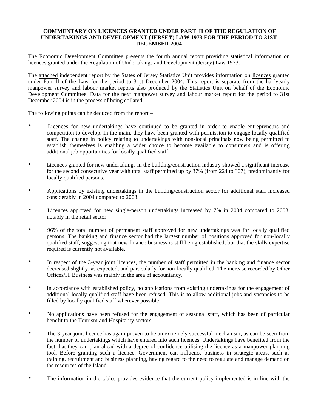#### **COMMENTARY ON LICENCES GRANTED UNDER PART II OF THE REGULATION OF UNDERTAKINGS AND DEVELOPMENT (JERSEY) LAW 1973 FOR THE PERIOD TO 31ST DECEMBER 2004**

The Economic Development Committee presents the fourth annual report providing statistical information on licences granted under the Regulation of Undertakings and Development (Jersey) Law 1973.

The attached independent report by the States of Jersey Statistics Unit provides information on licences granted under Part II of the Law for the period to 31st December 2004. This report is separate from the half-yearly manpower survey and labour market reports also produced by the Statistics Unit on behalf of the Economic Development Committee. Data for the next manpower survey and labour market report for the period to 31st December 2004 is in the process of being collated.

The following points can be deduced from the report –

- Licences for new undertakings have continued to be granted in order to enable entrepreneurs and competition to develop. In the main, they have been granted with permission to engage locally qualified staff. The change in policy relating to undertakings with non-local principals now being permitted to establish themselves is enabling a wider choice to become available to consumers and is offering additional job opportunities for locally qualified staff.
- Licences granted for new undertakings in the building/construction industry showed a significant increase for the second consecutive year with total staff permitted up by 37% (from 224 to 307), predominantly for locally qualified persons.
- Applications by existing undertakings in the building/construction sector for additional staff increased considerably in 2004 compared to 2003.
- Licences approved for new single-person undertakings increased by 7% in 2004 compared to 2003, notably in the retail sector.
- 96% of the total number of permanent staff approved for new undertakings was for locally qualified persons. The banking and finance sector had the largest number of positions approved for non-locally qualified staff, suggesting that new finance business is still being established, but that the skills expertise required is currently not available.
- In respect of the 3-year joint licences, the number of staff permitted in the banking and finance sector decreased slightly, as expected, and particularly for non-locally qualified. The increase recorded by Other Offices/IT Business was mainly in the area of accountancy.
- In accordance with established policy, no applications from existing undertakings for the engagement of additional locally qualified staff have been refused. This is to allow additional jobs and vacancies to be filled by locally qualified staff wherever possible.
- No applications have been refused for the engagement of seasonal staff, which has been of particular benefit to the Tourism and Hospitality sectors.
- The 3-year joint licence has again proven to be an extremely successful mechanism, as can be seen from the number of undertakings which have entered into such licences. Undertakings have benefited from the fact that they can plan ahead with a degree of confidence utilising the licence as a manpower planning tool. Before granting such a licence, Government can influence business in strategic areas, such as training, recruitment and business planning, having regard to the need to regulate and manage demand on the resources of the Island.
- The information in the tables provides evidence that the current policy implemented is in line with the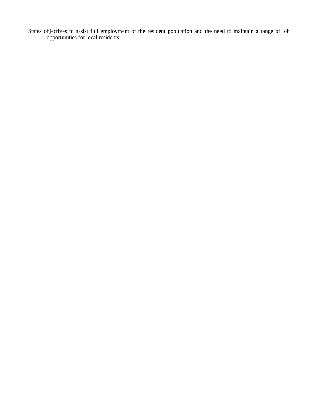States objectives to assist full employment of the resident population and the need to maintain a range of job opportunities for local residents.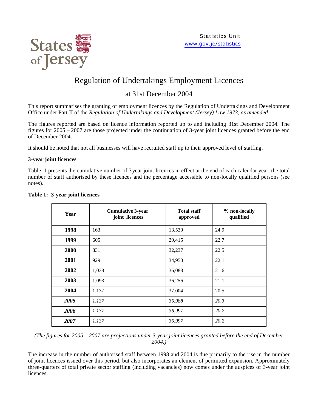

## Regulation of Undertakings Employment Licences

### at 31st December 2004

This report summarises the granting of employment licences by the Regulation of Undertakings and Development Office under Part II of the *Regulation of Undertakings and Development (Jersey) Law 1973, as amended*.

The figures reported are based on licence information reported up to and including 31st December 2004. The figures for 2005 – 2007 are those projected under the continuation of 3-year joint licences granted before the end of December 2004.

It should be noted that not all businesses will have recruited staff up to their approved level of staffing.

#### **3-year joint licences**

Table 1 presents the cumulative number of 3 year joint licences in effect at the end of each calendar year, the total number of staff authorised by these licences and the percentage accessible to non-locally qualified persons (see notes).

| Year | <b>Cumulative 3-year</b><br>joint licences | <b>Total staff</b><br>approved | % non-locally<br>qualified |
|------|--------------------------------------------|--------------------------------|----------------------------|
| 1998 | 163                                        | 13,539                         | 24.9                       |
| 1999 | 605                                        | 29,415                         | 22.7                       |
| 2000 | 831                                        | 32,237                         | 22.5                       |
| 2001 | 929                                        | 34,950                         | 22.1                       |
| 2002 | 1,038                                      | 36,088                         | 21.6                       |
| 2003 | 1,093                                      | 36,256                         | 21.1                       |
| 2004 | 1,137                                      | 37,004                         | 20.5                       |
| 2005 | 1,137                                      | 36,988                         | 20.3                       |
| 2006 | 1,137                                      | 36,997                         | 20.2                       |
| 2007 | 1,137                                      | 36,997                         | 20.2                       |

#### **Table 1: 3-year joint licences**

*(The figures for 2005 – 2007 are projections under 3-year joint licences granted before the end of December 2004.)*

The increase in the number of authorised staff between 1998 and 2004 is due primarily to the rise in the number of joint licences issued over this period, but also incorporates an element of permitted expansion. Approximately three-quarters of total private sector staffing (including vacancies) now comes under the auspices of 3-year joint licences.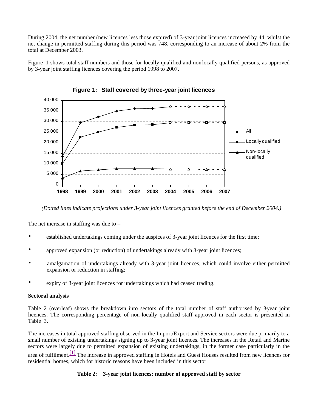During 2004, the net number (new licences less those expired) of 3-year joint licences increased by 44, whilst the net change in permitted staffing during this period was 748, corresponding to an increase of about 2% from the total at December 2003.

Figure 1 shows total staff numbers and those for locally qualified and non-locally qualified persons, as approved by 3-year joint staffing licences covering the period 1998 to 2007.



**Figure 1: Staff covered by three-year joint licences**

*(Dotted lines indicate projections under 3-year joint licences granted before the end of December 2004.)*

The net increase in staffing was due to –

- established undertakings coming under the auspices of 3-year joint licences for the first time;
- approved expansion (or reduction) of undertakings already with 3-year joint licences;
- amalgamation of undertakings already with 3-year joint licences, which could involve either permitted expansion or reduction in staffing;
- expiry of 3-year joint licences for undertakings which had ceased trading.

#### **Sectoral analysis**

Table 2 (overleaf) shows the breakdown into sectors of the total number of staff authorised by 3-year joint licences. The corresponding percentage of non-locally qualified staff approved in each sector is presented in Table 3.

The increases in total approved staffing observed in the Import/Export and Service sectors were due primarily to a small number of existing undertakings signing up to 3-year joint licences. The increases in the Retail and Marine sectors were largely due to permitted expansion of existing undertakings, in the former case particularly in the area of fulfilment.<sup>[1]</sup> The increase in approved staffing in Hotels and Guest Houses resulted from new licences for residential homes, which for historic reasons have been included in this sector.

#### **Table 2: 3-year joint licences: number of approved staff by sector**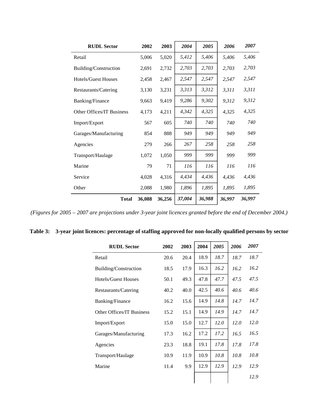| <b>RUDL Sector</b>               | 2002   | 2003   | 2004   | 2005   | 2006   | 2007   |
|----------------------------------|--------|--------|--------|--------|--------|--------|
| Retail                           | 5,006  | 5,020  | 5,412  | 5,406  | 5,406  | 5,406  |
| Building/Construction            | 2,691  | 2,732  | 2,703  | 2,703  | 2,703  | 2,703  |
| <b>Hotels/Guest Houses</b>       | 2,458  | 2,467  | 2,547  | 2,547  | 2,547  | 2,547  |
| Restaurants/Catering             | 3,130  | 3,231  | 3,313  | 3,312  | 3,311  | 3,311  |
| Banking/Finance                  | 9,663  | 9,419  | 9,286  | 9,302  | 9,312  | 9,312  |
| <b>Other Offices/IT Business</b> | 4,173  | 4,211  | 4,342  | 4,325  | 4,325  | 4,325  |
| Import/Export                    | 567    | 605    | 740    | 740    | 740    | 740    |
| Garages/Manufacturing            | 854    | 888    | 949    | 949    | 949    | 949    |
| Agencies                         | 279    | 266    | 267    | 258    | 258    | 258    |
| Transport/Haulage                | 1,072  | 1,050  | 999    | 999    | 999    | 999    |
| Marine                           | 79     | 71     | 116    | 116    | 116    | 116    |
| Service                          | 4,028  | 4,316  | 4,434  | 4,436  | 4,436  | 4,436  |
| Other                            | 2,088  | 1,980  | 1,896  | 1,895  | 1,895  | 1,895  |
| <b>Total</b>                     | 36,088 | 36,256 | 37,004 | 36,988 | 36,997 | 36,997 |

*(Figures for 2005 – 2007 are projections under 3-year joint licences granted before the end of December 2004.)*

|  | Table 3: 3-year joint licences: percentage of staffing approved for non-locally qualified persons by sector |  |  |
|--|-------------------------------------------------------------------------------------------------------------|--|--|
|  |                                                                                                             |  |  |

| <b>RUDL Sector</b>         | 2002 | 2003 | 2004 | 2005 | 2006 | 2007 |
|----------------------------|------|------|------|------|------|------|
| Retail                     | 20.6 | 20.4 | 18.9 | 18.7 | 18.7 | 18.7 |
| Building/Construction      | 18.5 | 17.9 | 16.3 | 16.2 | 16.2 | 16.2 |
| <b>Hotels/Guest Houses</b> | 50.1 | 49.3 | 47.8 | 47.7 | 47.5 | 47.5 |
| Restaurants/Catering       | 40.2 | 40.0 | 42.5 | 40.6 | 40.6 | 40.6 |
| <b>Banking/Finance</b>     | 16.2 | 15.6 | 14.9 | 14.8 | 14.7 | 14.7 |
| Other Offices/IT Business  | 15.2 | 15.1 | 14.9 | 14.9 | 14.7 | 14.7 |
| Import/Export              | 15.0 | 15.0 | 12.7 | 12.0 | 12.0 | 12.0 |
| Garages/Manufacturing      | 17.3 | 16.2 | 17.2 | 17.2 | 16.5 | 16.5 |
| Agencies                   | 23.3 | 18.8 | 19.1 | 17.8 | 17.8 | 17.8 |
| Transport/Haulage          | 10.9 | 11.9 | 10.9 | 10.8 | 10.8 | 10.8 |
| Marine                     | 11.4 | 9.9  | 12.9 | 12.9 | 12.9 | 12.9 |
|                            |      |      |      |      |      | 12.9 |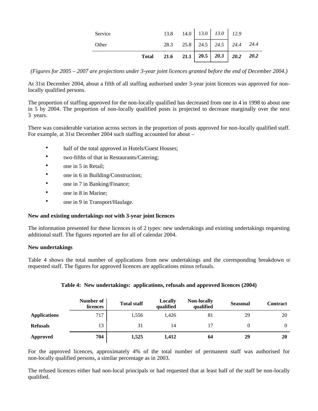|         | <b>Total</b> | 21.6 21.1 20.5 20.3 20.2 20.2  |  |                               |  |
|---------|--------------|--------------------------------|--|-------------------------------|--|
| Other   |              |                                |  | 28.3 25.8 24.5 24.5 24.4 24.4 |  |
| Service |              | 13.8 14.0   13.0   13.0   12.9 |  |                               |  |

*(Figures for 2005 – 2007 are projections under 3-year joint licences granted before the end of December 2004.)*

At 31st December 2004, about a fifth of all staffing authorised under 3-year joint licences was approved for nonlocally qualified persons.

The proportion of staffing approved for the non-locally qualified has decreased from one in 4 in 1998 to about one in 5 by 2004. The proportion of non-locally qualified posts is projected to decrease marginally over the next 3 years.

There was considerable variation across sectors in the proportion of posts approved for non-locally qualified staff. For example, at 31st December 2004 such staffing accounted for about –

- half of the total approved in Hotels/Guest Houses;
- two-fifths of that in Restaurants/Catering;
- one in 5 in Retail:
- one in 6 in Building/Construction;
- one in 7 in Banking/Finance;
- one in 8 in Marine:
- one in 9 in Transport/Haulage.

#### **New and existing undertakings** *not* **with 3-year joint licences**

The information presented for these licences is of 2 types: new undertakings and existing undertakings requesting additional staff. The figures reported are for all of calendar 2004.

#### **New undertakings**

Table 4 shows the total number of applications from new undertakings and the corresponding breakdown of requested staff. The figures for approved licences are applications minus refusals.

|                     | Number of<br>licences | <b>Total staff</b> | Locally<br>qualified | <b>Non-locally</b><br>qualified | <b>Seasonal</b> | <b>Contract</b> |
|---------------------|-----------------------|--------------------|----------------------|---------------------------------|-----------------|-----------------|
| <b>Applications</b> | 717                   | 1,556              | 1.426                | 81                              | 29              | 20              |
| <b>Refusals</b>     | 13                    | 31                 | 14                   |                                 |                 | $\theta$        |
| <b>Approved</b>     | 704                   | 1,525              | 1,412                | 64                              | 29              | 20              |

#### **Table 4: New undertakings: applications, refusals and approved licences (2004)**

For the approved licences, approximately 4% of the total number of permanent staff was authorised for non-locally qualified persons, a similar percentage as in 2003.

The refused licences either had non-local principals or had requested that at least half of the staff be non-locally qualified.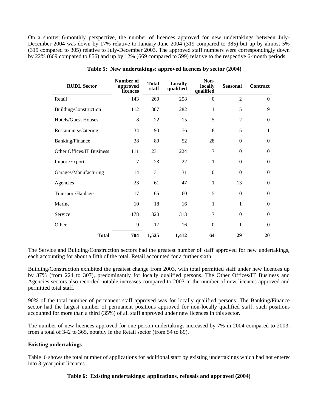On a shorter 6-monthly perspective, the number of licences approved for new undertakings between July-December 2004 was down by 17% relative to January-June 2004 (319 compared to 385) but up by almost 5% (319 compared to 305) relative to July-December 2003. The approved staff numbers were correspondingly down by 22% (669 compared to 856) and up by 12% (669 compared to 599) relative to the respective 6-month periods.

| <b>RUDL Sector</b>        | Number of<br>approved<br>licences | <b>Total</b><br>staff | Locally<br>qualified | Non-<br>locally<br>qualified | <b>Seasonal</b>  | Contract     |
|---------------------------|-----------------------------------|-----------------------|----------------------|------------------------------|------------------|--------------|
| Retail                    | 143                               | 260                   | 258                  | $\theta$                     | $\overline{2}$   | $\Omega$     |
| Building/Construction     | 112                               | 307                   | 282                  | $\mathbf{1}$                 | 5                | 19           |
| Hotels/Guest Houses       | 8                                 | 22                    | 15                   | 5                            | $\overline{2}$   | $\Omega$     |
| Restaurants/Catering      | 34                                | 90                    | 76                   | 8                            | 5                | 1            |
| Banking/Finance           | 38                                | 80                    | 52                   | 28                           | $\Omega$         | $\theta$     |
| Other Offices/IT Business | 111                               | 231                   | 224                  | $\overline{7}$               | $\boldsymbol{0}$ | $\theta$     |
| Import/Export             | 7                                 | 23                    | 22                   | 1                            | $\Omega$         | $\Omega$     |
| Garages/Manufacturing     | 14                                | 31                    | 31                   | $\boldsymbol{0}$             | $\Omega$         | $\mathbf{0}$ |
| Agencies                  | 23                                | 61                    | 47                   | $\mathbf{1}$                 | 13               | $\mathbf{0}$ |
| Transport/Haulage         | 17                                | 65                    | 60                   | 5                            | $\Omega$         | $\theta$     |
| Marine                    | 10                                | 18                    | 16                   | 1                            | 1                | $\mathbf{0}$ |
| Service                   | 178                               | 320                   | 313                  | $\overline{7}$               | $\mathbf{0}$     | $\mathbf{0}$ |
| Other                     | 9                                 | 17                    | 16                   | $\boldsymbol{0}$             | $\mathbf{1}$     | $\theta$     |
| <b>Total</b>              | 704                               | 1,525                 | 1,412                | 64                           | 29               | 20           |

#### **Table 5: New undertakings: approved licences by sector (2004)**

The Service and Building/Construction sectors had the greatest number of staff approved for new undertakings, each accounting for about a fifth of the total. Retail accounted for a further sixth.

Building/Construction exhibited the greatest change from 2003, with total permitted staff under new licences up by 37% (from 224 to 307), predominantly for locally qualified persons. The Other Offices/IT Business and Agencies sectors also recorded notable increases compared to 2003 in the number of new licences approved and permitted total staff.

90% of the total number of permanent staff approved was for locally qualified persons. The Banking/Finance sector had the largest number of permanent positions approved for non-locally qualified staff; such positions accounted for more than a third (35%) of all staff approved under new licences in this sector.

The number of new licences approved for one-person undertakings increased by 7% in 2004 compared to 2003, from a total of 342 to 365, notably in the Retail sector (from 54 to 89).

#### **Existing undertakings**

Table 6 shows the total number of applications for additional staff by existing undertakings which had not entered into 3-year joint licences.

#### **Table 6: Existing undertakings: applications, refusals and approved (2004)**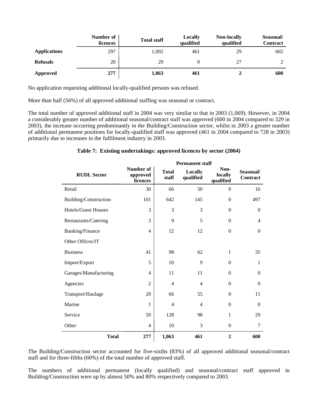|                     | Number of<br>licences | <b>Total staff</b> | Locally<br>qualified | <b>Non-locally</b><br>qualified | Seasonal/<br>Contract |
|---------------------|-----------------------|--------------------|----------------------|---------------------------------|-----------------------|
| <b>Applications</b> | 297                   | 1,092              | 461                  | 29                              | 602                   |
| <b>Refusals</b>     | 20                    | 29                 |                      | 27                              |                       |
| Approved            | 277                   | 1,063              | 461                  |                                 | 600                   |

No application requesting additional locally-qualified persons was refused.

More than half (56%) of all approved additional staffing was seasonal or contract.

The total number of approved additional staff in 2004 was very similar to that in 2003 (1,069). However, in 2004 a considerably greater number of additional seasonal/contract staff was approved (600 in 2004 compared to 329 in 2003), the increase occurring predominantly in the Building/Construction sector, whilst in 2003 a greater number of additional permanent positions for locally-qualified staff was approved (461 in 2004 compared to 728 in 2003) primarily due to increases in the fulfilment industry in 2003.

#### **Table 7: Existing undertakings: approved licences by sector (2004)**

|                       | <b>Permanent staff</b>            |                       |                      |                              |                       |  |
|-----------------------|-----------------------------------|-----------------------|----------------------|------------------------------|-----------------------|--|
| <b>RUDL Sector</b>    | Number of<br>approved<br>licences | <b>Total</b><br>staff | Locally<br>qualified | Non-<br>locally<br>qualified | Seasonal/<br>Contract |  |
| Retail                | 30                                | 66                    | 50                   | $\mathbf{0}$                 | 16                    |  |
| Building/Construction | 101                               | 642                   | 145                  | $\boldsymbol{0}$             | 497                   |  |
| Hotels/Guest Houses   | 3                                 | 3                     | 3                    | $\theta$                     | $\boldsymbol{0}$      |  |
| Restaurants/Catering  | 3                                 | 9                     | 5                    | $\mathbf{0}$                 | $\overline{4}$        |  |
| Banking/Finance       | $\overline{4}$                    | 12                    | 12                   | $\boldsymbol{0}$             | $\boldsymbol{0}$      |  |
| Other Offices/IT      |                                   |                       |                      |                              |                       |  |
| <b>Business</b>       | 41                                | 98                    | 62                   | $\mathbf{1}$                 | 35                    |  |
| Import/Export         | 5                                 | 10                    | 9                    | $\theta$                     | 1                     |  |
| Garages/Manufacturing | 4                                 | 11                    | 11                   | $\mathbf{0}$                 | $\mathbf{0}$          |  |
| Agencies              | $\overline{2}$                    | $\overline{4}$        | $\overline{4}$       | $\Omega$                     | $\Omega$              |  |
| Transport/Haulage     | 20                                | 66                    | 55                   | $\mathbf{0}$                 | 11                    |  |
| Marine                | 1                                 | 4                     | $\overline{4}$       | $\theta$                     | $\boldsymbol{0}$      |  |
| Service               | 59                                | 128                   | 98                   | $\mathbf{1}$                 | 29                    |  |
| Other                 | 4                                 | 10                    | 3                    | $\boldsymbol{0}$             | $\tau$                |  |
| <b>Total</b>          | 277                               | 1,063                 | 461                  | $\overline{2}$               | 600                   |  |

The Building/Construction sector accounted for five-sixths (83%) of all approved additional seasonal/contract staff and for three-fifths (60%) of the total number of approved staff.

The numbers of additional permanent (locally qualified) and seasonal/contract staff approved in Building/Construction were up by almost 50% and 80% respectively compared to 2003.